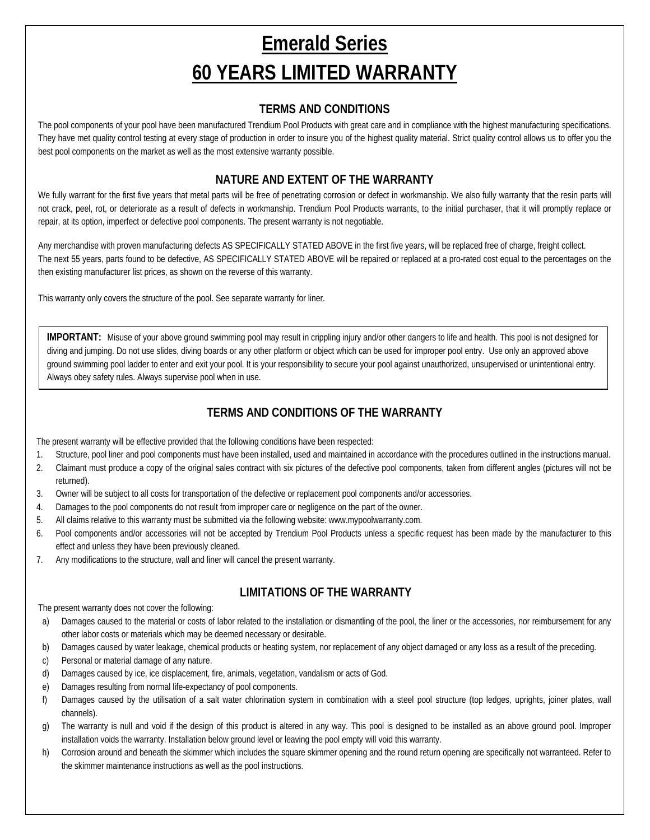# **Emerald Series 60 YEARS LIMITED WARRANTY**

#### **TERMS AND CONDITIONS**

The pool components of your pool have been manufactured Trendium Pool Products with great care and in compliance with the highest manufacturing specifications. They have met quality control testing at every stage of production in order to insure you of the highest quality material. Strict quality control allows us to offer you the best pool components on the market as well as the most extensive warranty possible.

#### **NATURE AND EXTENT OF THE WARRANTY**

We fully warrant for the first five years that metal parts will be free of penetrating corrosion or defect in workmanship. We also fully warranty that the resin parts will not crack, peel, rot, or deteriorate as a result of defects in workmanship. Trendium Pool Products warrants, to the initial purchaser, that it will promptly replace or repair, at its option, imperfect or defective pool components. The present warranty is not negotiable.

Any merchandise with proven manufacturing defects AS SPECIFICALLY STATED ABOVE in the first five years, will be replaced free of charge, freight collect. The next 55 years, parts found to be defective, AS SPECIFICALLY STATED ABOVE will be repaired or replaced at a pro-rated cost equal to the percentages on the then existing manufacturer list prices, as shown on the reverse of this warranty.

This warranty only covers the structure of the pool. See separate warranty for liner.

**IMPORTANT:** Misuse of your above ground swimming pool may result in crippling injury and/or other dangers to life and health. This pool is not designed for diving and jumping. Do not use slides, diving boards or any other platform or object which can be used for improper pool entry. Use only an approved above ground swimming pool ladder to enter and exit your pool. It is your responsibility to secure your pool against unauthorized, unsupervised or unintentional entry. Always obey safety rules. Always supervise pool when in use.

#### **TERMS AND CONDITIONS OF THE WARRANTY**

The present warranty will be effective provided that the following conditions have been respected:

- 1. Structure, pool liner and pool components must have been installed, used and maintained in accordance with the procedures outlined in the instructions manual.
- 2. Claimant must produce a copy of the original sales contract with six pictures of the defective pool components, taken from different angles (pictures will not be returned).
- 3. Owner will be subject to all costs for transportation of the defective or replacement pool components and/or accessories.
- 4. Damages to the pool components do not result from improper care or negligence on the part of the owner.
- 5. All claims relative to this warranty must be submitted via the following website: www.mypoolwarranty.com.
- 6. Pool components and/or accessories will not be accepted by Trendium Pool Products unless a specific request has been made by the manufacturer to this effect and unless they have been previously cleaned.
- 7. Any modifications to the structure, wall and liner will cancel the present warranty.

#### **LIMITATIONS OF THE WARRANTY**

The present warranty does not cover the following:

- a) Damages caused to the material or costs of labor related to the installation or dismantling of the pool, the liner or the accessories, nor reimbursement for any other labor costs or materials which may be deemed necessary or desirable.
- b) Damages caused by water leakage, chemical products or heating system, nor replacement of any object damaged or any loss as a result of the preceding.
- c) Personal or material damage of any nature.
- d) Damages caused by ice, ice displacement, fire, animals, vegetation, vandalism or acts of God.
- e) Damages resulting from normal life-expectancy of pool components.
- f) Damages caused by the utilisation of a salt water chlorination system in combination with a steel pool structure (top ledges, uprights, joiner plates, wall channels).
- g) The warranty is null and void if the design of this product is altered in any way. This pool is designed to be installed as an above ground pool. Improper installation voids the warranty. Installation below ground level or leaving the pool empty will void this warranty.
- h) Corrosion around and beneath the skimmer which includes the square skimmer opening and the round return opening are specifically not warranteed. Refer to the skimmer maintenance instructions as well as the pool instructions.